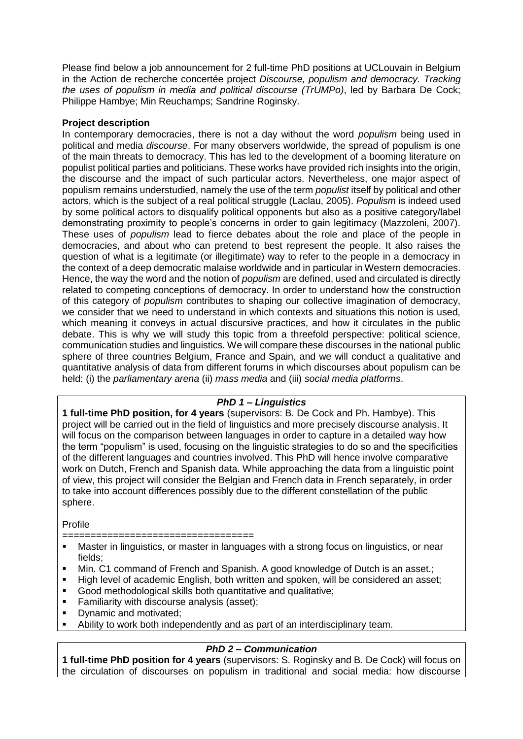Please find below a job announcement for 2 full-time PhD positions at UCLouvain in Belgium in the Action de recherche concertée project *Discourse, populism and democracy. Tracking the uses of populism in media and political discourse (TrUMPo)*, led by Barbara De Cock; Philippe Hambye; Min Reuchamps; Sandrine Roginsky.

## **Project description**

In contemporary democracies, there is not a day without the word *populism* being used in political and media *discourse*. For many observers worldwide, the spread of populism is one of the main threats to democracy. This has led to the development of a booming literature on populist political parties and politicians. These works have provided rich insights into the origin, the discourse and the impact of such particular actors. Nevertheless, one major aspect of populism remains understudied, namely the use of the term *populist* itself by political and other actors, which is the subject of a real political struggle (Laclau, 2005). *Populism* is indeed used by some political actors to disqualify political opponents but also as a positive category/label demonstrating proximity to people's concerns in order to gain legitimacy (Mazzoleni, 2007). These uses of *populism* lead to fierce debates about the role and place of the people in democracies, and about who can pretend to best represent the people. It also raises the question of what is a legitimate (or illegitimate) way to refer to the people in a democracy in the context of a deep democratic malaise worldwide and in particular in Western democracies. Hence, the way the word and the notion of *populism* are defined, used and circulated is directly related to competing conceptions of democracy. In order to understand how the construction of this category of *populism* contributes to shaping our collective imagination of democracy, we consider that we need to understand in which contexts and situations this notion is used, which meaning it conveys in actual discursive practices, and how it circulates in the public debate. This is why we will study this topic from a threefold perspective: political science, communication studies and linguistics. We will compare these discourses in the national public sphere of three countries Belgium, France and Spain, and we will conduct a qualitative and quantitative analysis of data from different forums in which discourses about populism can be held: (i) the *parliamentary arena* (ii) *mass media* and (iii) *social media platforms*.

# *PhD 1 – Linguistics*

**1 full-time PhD position, for 4 years** (supervisors: B. De Cock and Ph. Hambye). This project will be carried out in the field of linguistics and more precisely discourse analysis. It will focus on the comparison between languages in order to capture in a detailed way how the term "populism" is used, focusing on the linguistic strategies to do so and the specificities of the different languages and countries involved. This PhD will hence involve comparative work on Dutch, French and Spanish data. While approaching the data from a linguistic point of view, this project will consider the Belgian and French data in French separately, in order to take into account differences possibly due to the different constellation of the public sphere.

Profile

- =====================================
- Master in linguistics, or master in languages with a strong focus on linguistics, or near fields;
- Min. C1 command of French and Spanish. A good knowledge of Dutch is an asset.;
- High level of academic English, both written and spoken, will be considered an asset;
- Good methodological skills both quantitative and qualitative;
- **Familiarity with discourse analysis (asset);**
- Dynamic and motivated:
- Ability to work both independently and as part of an interdisciplinary team.

# *PhD 2 – Communication*

**1 full-time PhD position for 4 years** (supervisors: S. Roginsky and B. De Cock) will focus on the circulation of discourses on populism in traditional and social media: how discourse